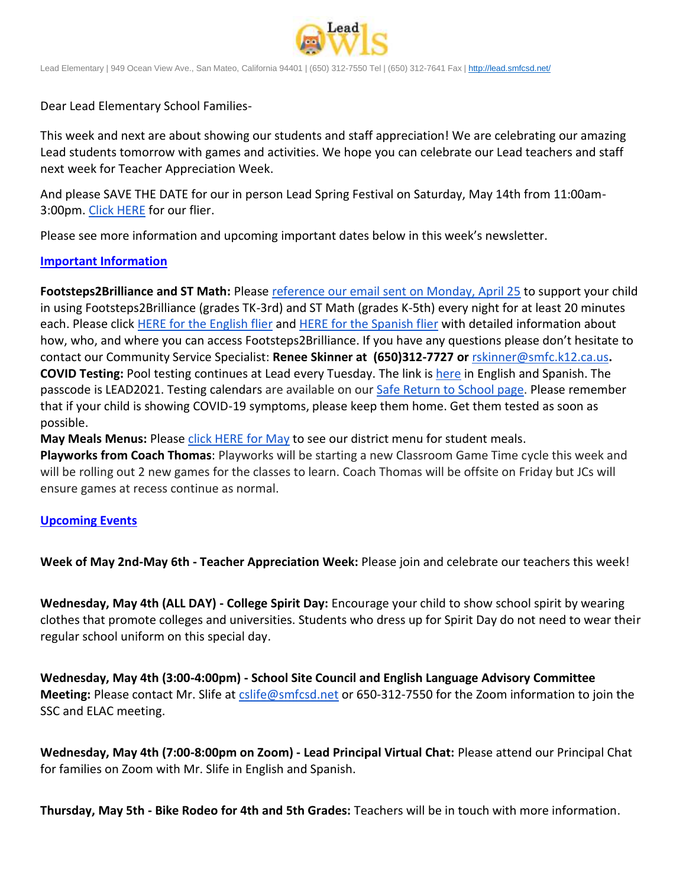

Lead Elementary | 949 Ocean View Ave., San Mateo, California 94401 | (650) 312-7550 Tel | (650) 312-7641 Fax [| http://lead.smfcsd.net/](http://lead.smfcsd.net/)

Dear Lead Elementary School Families-

This week and next are about showing our students and staff appreciation! We are celebrating our amazing Lead students tomorrow with games and activities. We hope you can celebrate our Lead teachers and staff next week for Teacher Appreciation Week.

And please SAVE THE DATE for our in person Lead Spring Festival on Saturday, May 14th from 11:00am-3:00pm. [Click HERE](https://drive.google.com/file/d/1LXCaRTkH4eY74FyUHwsI2dva7utR6zju/view?usp=sharing) for our flier.

Please see more information and upcoming important dates below in this week's newsletter.

## **Important Information**

**Footsteps2Brilliance and ST Math:** Please reference our email [sent on Monday, April 25](https://docs.google.com/document/d/1IxuljNfbG-2UwbhkwLXMYuuAB2uUWSxyPtiqZLOPIhg/edit?usp=sharing) to support your child in using Footsteps2Brilliance (grades TK-3rd) and ST Math (grades K-5th) every night for at least 20 minutes each. Please click [HERE for the English flier](https://drive.google.com/file/d/1-9c6ncQFyTcT5hQPyYNN6hDe8zHAofDS/view?usp=sharing) and [HERE for the Spanish flier](https://drive.google.com/file/d/1by3DyIDVTarVPVFTqMXW4ixummnwx4ot/view?usp=sharing) with detailed information about how, who, and where you can access Footsteps2Brilliance. If you have any questions please don't hesitate to contact our Community Service Specialist: **Renee Skinner at (650)312-7727 or** [rskinner@smfc.k12.ca.us](mailto:rskinner@smfc.k12.ca.us)**. COVID Testing:** Pool testing continues at Lead every Tuesday. The link is [here](https://testcenter.concentricbyginkgo.com/minor-consent/) in English and Spanish. The passcode is LEAD2021. Testing calendars are available on our [Safe Return to School page.](http://www.smfcsd.net/en/covid-19-updates-resources/covid-19-updates.html) Please remember that if your child is showing COVID-19 symptoms, please keep them home. Get them tested as soon as possible.

May Meals Menus: Please *[click HERE for May](https://drive.google.com/file/d/1vVpLTZJBj4SV57pMFGwrUGE57IYO5O4i/view?usp=sharing)* to see our district menu for student meals.

**Playworks from Coach Thomas**: Playworks will be starting a new Classroom Game Time cycle this week and will be rolling out 2 new games for the classes to learn. Coach Thomas will be offsite on Friday but JCs will ensure games at recess continue as normal.

# **Upcoming Events**

**Week of May 2nd-May 6th - Teacher Appreciation Week:** Please join and celebrate our teachers this week!

**Wednesday, May 4th (ALL DAY) - College Spirit Day:** Encourage your child to show school spirit by wearing clothes that promote colleges and universities. Students who dress up for Spirit Day do not need to wear their regular school uniform on this special day.

**Wednesday, May 4th (3:00-4:00pm) - School Site Council and English Language Advisory Committee Meeting:** Please contact Mr. Slife at [cslife@smfcsd.net](mailto:cslife@smfcsd.net) or 650-312-7550 for the Zoom information to join the SSC and ELAC meeting.

**Wednesday, May 4th (7:00-8:00pm on Zoom) - Lead Principal Virtual Chat:** Please attend our Principal Chat for families on Zoom with Mr. Slife in English and Spanish.

**Thursday, May 5th - Bike Rodeo for 4th and 5th Grades:** Teachers will be in touch with more information.